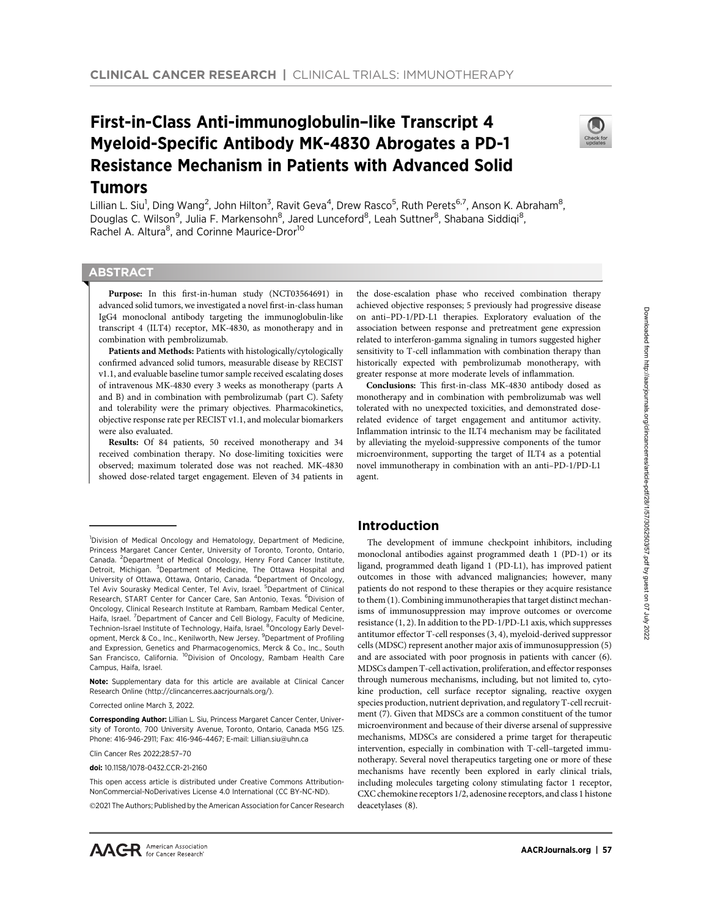# First-in-Class Anti-immunoglobulin–like Transcript 4 Myeloid-Specific Antibody MK-4830 Abrogates a PD-1 Resistance Mechanism in Patients with Advanced Solid Tumors



Lillian L. Siu<sup>1</sup>, Ding Wang<sup>2</sup>, John Hilton<sup>3</sup>, Ravit Geva<sup>4</sup>, Drew Rasco<sup>5</sup>, Ruth Perets<sup>6,7</sup>, Anson K. Abraham<sup>8</sup>, Douglas C. Wilson<sup>9</sup>, Julia F. Markensohn<sup>8</sup>, Jared Lunceford<sup>8</sup>, Leah Suttner<sup>8</sup>, Shabana Siddiqi<sup>8</sup>, Rachel A. Altura<sup>8</sup>, and Corinne Maurice-Dror<sup>10</sup>

# **ABSTRACT**

◥

Purpose: In this first-in-human study (NCT03564691) in advanced solid tumors, we investigated a novel first-in-class human IgG4 monoclonal antibody targeting the immunoglobulin-like transcript 4 (ILT4) receptor, MK-4830, as monotherapy and in combination with pembrolizumab.

Patients and Methods: Patients with histologically/cytologically confirmed advanced solid tumors, measurable disease by RECIST v1.1, and evaluable baseline tumor sample received escalating doses of intravenous MK-4830 every 3 weeks as monotherapy (parts A and B) and in combination with pembrolizumab (part C). Safety and tolerability were the primary objectives. Pharmacokinetics, objective response rate per RECIST v1.1, and molecular biomarkers were also evaluated.

Results: Of 84 patients, 50 received monotherapy and 34 received combination therapy. No dose-limiting toxicities were observed; maximum tolerated dose was not reached. MK-4830 showed dose-related target engagement. Eleven of 34 patients in

Note: Supplementary data for this article are available at Clinical Cancer Research Online (http://clincancerres.aacrjournals.org/).

Corrected online March 3, 2022.

Clin Cancer Res 2022;28:57–70

doi: 10.1158/1078-0432.CCR-21-2160

This open access article is distributed under Creative Commons Attribution-NonCommercial-NoDerivatives License 4.0 International (CC BY-NC-ND).

2021 The Authors; Published by the American Association for Cancer Research

the dose-escalation phase who received combination therapy achieved objective responses; 5 previously had progressive disease on anti–PD-1/PD-L1 therapies. Exploratory evaluation of the association between response and pretreatment gene expression related to interferon-gamma signaling in tumors suggested higher sensitivity to T-cell inflammation with combination therapy than historically expected with pembrolizumab monotherapy, with greater response at more moderate levels of inflammation.

Conclusions: This first-in-class MK-4830 antibody dosed as monotherapy and in combination with pembrolizumab was well tolerated with no unexpected toxicities, and demonstrated doserelated evidence of target engagement and antitumor activity. Inflammation intrinsic to the ILT4 mechanism may be facilitated by alleviating the myeloid-suppressive components of the tumor microenvironment, supporting the target of ILT4 as a potential novel immunotherapy in combination with an anti–PD-1/PD-L1 agent.

# Introduction

The development of immune checkpoint inhibitors, including monoclonal antibodies against programmed death 1 (PD-1) or its ligand, programmed death ligand 1 (PD-L1), has improved patient outcomes in those with advanced malignancies; however, many patients do not respond to these therapies or they acquire resistance to them (1). Combining immunotherapies that target distinct mechanisms of immunosuppression may improve outcomes or overcome resistance (1, 2). In addition to the PD-1/PD-L1 axis, which suppresses antitumor effector T-cell responses (3, 4), myeloid-derived suppressor cells (MDSC) represent another major axis of immunosuppression (5) and are associated with poor prognosis in patients with cancer (6). MDSCs dampen T-cell activation, proliferation, and effector responses through numerous mechanisms, including, but not limited to, cytokine production, cell surface receptor signaling, reactive oxygen species production, nutrient deprivation, and regulatory T-cell recruitment (7). Given that MDSCs are a common constituent of the tumor microenvironment and because of their diverse arsenal of suppressive mechanisms, MDSCs are considered a prime target for therapeutic intervention, especially in combination with T-cell–targeted immunotherapy. Several novel therapeutics targeting one or more of these mechanisms have recently been explored in early clinical trials, including molecules targeting colony stimulating factor 1 receptor, CXC chemokine receptors 1/2, adenosine receptors, and class 1 histone deacetylases (8).

<sup>&</sup>lt;sup>1</sup>Division of Medical Oncology and Hematology, Department of Medicine, Princess Margaret Cancer Center, University of Toronto, Toronto, Ontario, Canada. <sup>2</sup>Department of Medical Oncology, Henry Ford Cancer Institute, Detroit, Michigan. <sup>3</sup>Department of Medicine, The Ottawa Hospital and University of Ottawa, Ottawa, Ontario, Canada. <sup>4</sup>Department of Oncology, Tel Aviv Sourasky Medical Center, Tel Aviv, Israel. <sup>5</sup>Department of Clinical Research, START Center for Cancer Care, San Antonio, Texas. <sup>6</sup>Division of Oncology, Clinical Research Institute at Rambam, Rambam Medical Center, Haifa, Israel. <sup>7</sup>Department of Cancer and Cell Biology, Faculty of Medicine,<br>Technion-Israel Institute of Technology, Haifa, Israel. <sup>8</sup>Oncology Early Development, Merck & Co., Inc., Kenilworth, New Jersey. <sup>9</sup>Department of Profiling and Expression, Genetics and Pharmacogenomics, Merck & Co., Inc., South San Francisco, California. <sup>10</sup>Division of Oncology, Rambam Health Care Campus, Haifa, Israel.

Corresponding Author: Lillian L. Siu, Princess Margaret Cancer Center, University of Toronto, 700 University Avenue, Toronto, Ontario, Canada M5G 1Z5. Phone: 416-946-2911; Fax: 416-946-4467; E-mail: Lillian.siu@uhn.ca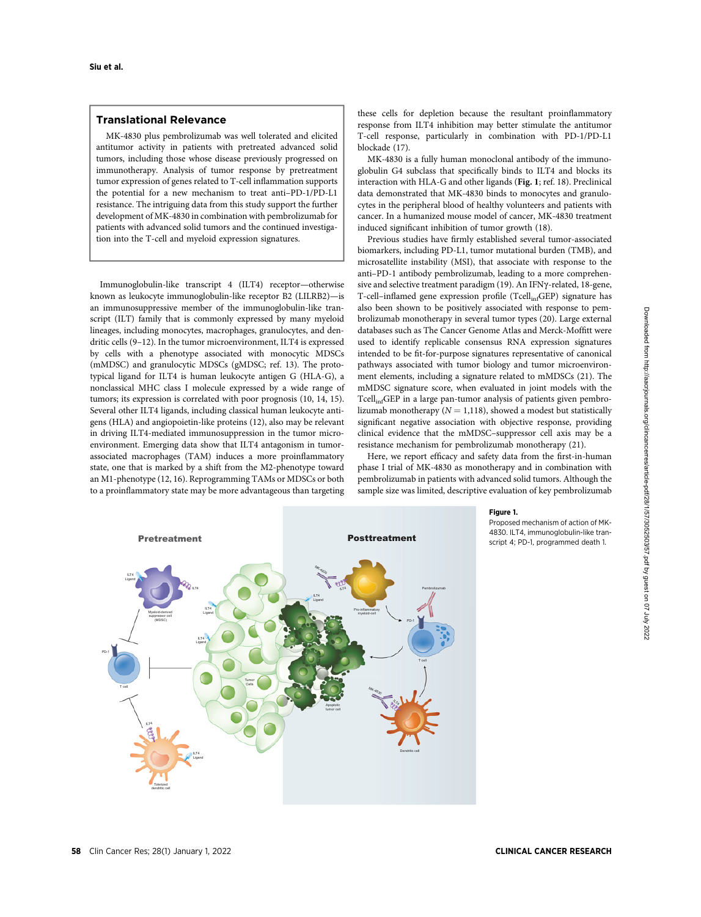# Translational Relevance

MK-4830 plus pembrolizumab was well tolerated and elicited antitumor activity in patients with pretreated advanced solid tumors, including those whose disease previously progressed on immunotherapy. Analysis of tumor response by pretreatment tumor expression of genes related to T-cell inflammation supports the potential for a new mechanism to treat anti–PD-1/PD-L1 resistance. The intriguing data from this study support the further development of MK-4830 in combination with pembrolizumab for patients with advanced solid tumors and the continued investigation into the T-cell and myeloid expression signatures.

Immunoglobulin-like transcript 4 (ILT4) receptor—otherwise known as leukocyte immunoglobulin-like receptor B2 (LILRB2)—is an immunosuppressive member of the immunoglobulin-like transcript (ILT) family that is commonly expressed by many myeloid lineages, including monocytes, macrophages, granulocytes, and dendritic cells (9–12). In the tumor microenvironment, ILT4 is expressed by cells with a phenotype associated with monocytic MDSCs (mMDSC) and granulocytic MDSCs (gMDSC; ref. 13). The prototypical ligand for ILT4 is human leukocyte antigen G (HLA-G), a nonclassical MHC class I molecule expressed by a wide range of tumors; its expression is correlated with poor prognosis (10, 14, 15). Several other ILT4 ligands, including classical human leukocyte antigens (HLA) and angiopoietin-like proteins (12), also may be relevant in driving ILT4-mediated immunosuppression in the tumor microenvironment. Emerging data show that ILT4 antagonism in tumorassociated macrophages (TAM) induces a more proinflammatory state, one that is marked by a shift from the M2-phenotype toward an M1-phenotype (12, 16). Reprogramming TAMs or MDSCs or both to a proinflammatory state may be more advantageous than targeting these cells for depletion because the resultant proinflammatory response from ILT4 inhibition may better stimulate the antitumor T-cell response, particularly in combination with PD-1/PD-L1 blockade (17).

MK-4830 is a fully human monoclonal antibody of the immunoglobulin G4 subclass that specifically binds to ILT4 and blocks its interaction with HLA-G and other ligands (Fig. 1; ref. 18). Preclinical data demonstrated that MK-4830 binds to monocytes and granulocytes in the peripheral blood of healthy volunteers and patients with cancer. In a humanized mouse model of cancer, MK-4830 treatment induced significant inhibition of tumor growth (18).

Previous studies have firmly established several tumor-associated biomarkers, including PD-L1, tumor mutational burden (TMB), and microsatellite instability (MSI), that associate with response to the anti–PD-1 antibody pembrolizumab, leading to a more comprehensive and selective treatment paradigm (19). An IFNg-related, 18-gene, T-cell–inflamed gene expression profile (TcellinfGEP) signature has also been shown to be positively associated with response to pembrolizumab monotherapy in several tumor types (20). Large external databases such as The Cancer Genome Atlas and Merck-Moffitt were used to identify replicable consensus RNA expression signatures intended to be fit-for-purpose signatures representative of canonical pathways associated with tumor biology and tumor microenvironment elements, including a signature related to mMDSCs (21). The mMDSC signature score, when evaluated in joint models with the  $Tcell_{\text{inf}}GEP$  in a large pan-tumor analysis of patients given pembrolizumab monotherapy ( $N = 1,118$ ), showed a modest but statistically significant negative association with objective response, providing clinical evidence that the mMDSC–suppressor cell axis may be a resistance mechanism for pembrolizumab monotherapy (21).

Here, we report efficacy and safety data from the first-in-human phase I trial of MK-4830 as monotherapy and in combination with pembrolizumab in patients with advanced solid tumors. Although the sample size was limited, descriptive evaluation of key pembrolizumab



Figure 1.

Proposed mechanism of action of MK-4830. ILT4, immunoglobulin-like transcript 4; PD-1, programmed death 1.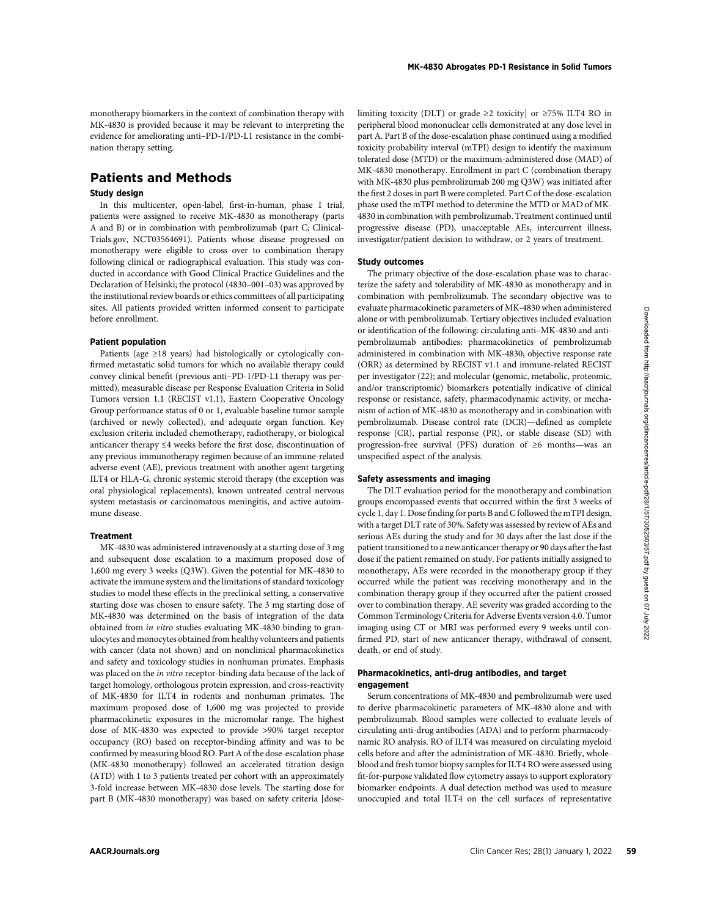monotherapy biomarkers in the context of combination therapy with MK-4830 is provided because it may be relevant to interpreting the evidence for ameliorating anti–PD-1/PD-L1 resistance in the combination therapy setting.

# Patients and Methods

### Study design

In this multicenter, open-label, first-in-human, phase I trial, patients were assigned to receive MK-4830 as monotherapy (parts A and B) or in combination with pembrolizumab (part C; Clinical-Trials.gov, NCT03564691). Patients whose disease progressed on monotherapy were eligible to cross over to combination therapy following clinical or radiographical evaluation. This study was conducted in accordance with Good Clinical Practice Guidelines and the Declaration of Helsinki; the protocol (4830–001–03) was approved by the institutional review boards or ethics committees of all participating sites. All patients provided written informed consent to participate before enrollment.

#### Patient population

Patients (age ≥18 years) had histologically or cytologically confirmed metastatic solid tumors for which no available therapy could convey clinical benefit (previous anti–PD-1/PD-L1 therapy was permitted), measurable disease per Response Evaluation Criteria in Solid Tumors version 1.1 (RECIST v1.1), Eastern Cooperative Oncology Group performance status of 0 or 1, evaluable baseline tumor sample (archived or newly collected), and adequate organ function. Key exclusion criteria included chemotherapy, radiotherapy, or biological anticancer therapy ≤4 weeks before the first dose, discontinuation of any previous immunotherapy regimen because of an immune-related adverse event (AE), previous treatment with another agent targeting ILT4 or HLA-G, chronic systemic steroid therapy (the exception was oral physiological replacements), known untreated central nervous system metastasis or carcinomatous meningitis, and active autoimmune disease.

### Treatment

MK-4830 was administered intravenously at a starting dose of 3 mg and subsequent dose escalation to a maximum proposed dose of 1,600 mg every 3 weeks (Q3W). Given the potential for MK-4830 to activate the immune system and the limitations of standard toxicology studies to model these effects in the preclinical setting, a conservative starting dose was chosen to ensure safety. The 3 mg starting dose of MK-4830 was determined on the basis of integration of the data obtained from in vitro studies evaluating MK-4830 binding to granulocytes and monocytes obtained from healthy volunteers and patients with cancer (data not shown) and on nonclinical pharmacokinetics and safety and toxicology studies in nonhuman primates. Emphasis was placed on the in vitro receptor-binding data because of the lack of target homology, orthologous protein expression, and cross-reactivity of MK-4830 for ILT4 in rodents and nonhuman primates. The maximum proposed dose of 1,600 mg was projected to provide pharmacokinetic exposures in the micromolar range. The highest dose of MK-4830 was expected to provide >90% target receptor occupancy (RO) based on receptor-binding affinity and was to be confirmed by measuring blood RO. Part A of the dose-escalation phase (MK-4830 monotherapy) followed an accelerated titration design (ATD) with 1 to 3 patients treated per cohort with an approximately 3-fold increase between MK-4830 dose levels. The starting dose for part B (MK-4830 monotherapy) was based on safety criteria [doselimiting toxicity (DLT) or grade  $\geq 2$  toxicity] or  $\geq 75\%$  ILT4 RO in peripheral blood mononuclear cells demonstrated at any dose level in part A. Part B of the dose-escalation phase continued using a modified toxicity probability interval (mTPI) design to identify the maximum tolerated dose (MTD) or the maximum-administered dose (MAD) of MK-4830 monotherapy. Enrollment in part C (combination therapy with MK-4830 plus pembrolizumab 200 mg Q3W) was initiated after the first 2 doses in part B were completed. Part C of the dose-escalation phase used the mTPI method to determine the MTD or MAD of MK-4830 in combination with pembrolizumab. Treatment continued until progressive disease (PD), unacceptable AEs, intercurrent illness, investigator/patient decision to withdraw, or 2 years of treatment.

#### Study outcomes

The primary objective of the dose-escalation phase was to characterize the safety and tolerability of MK-4830 as monotherapy and in combination with pembrolizumab. The secondary objective was to evaluate pharmacokinetic parameters of MK-4830 when administered alone or with pembrolizumab. Tertiary objectives included evaluation or identification of the following: circulating anti–MK-4830 and antipembrolizumab antibodies; pharmacokinetics of pembrolizumab administered in combination with MK-4830; objective response rate (ORR) as determined by RECIST v1.1 and immune-related RECIST per investigator (22); and molecular (genomic, metabolic, proteomic, and/or transcriptomic) biomarkers potentially indicative of clinical response or resistance, safety, pharmacodynamic activity, or mechanism of action of MK-4830 as monotherapy and in combination with pembrolizumab. Disease control rate (DCR)—defined as complete response (CR), partial response (PR), or stable disease (SD) with progression-free survival (PFS) duration of ≥6 months—was an unspecified aspect of the analysis.

#### Safety assessments and imaging

The DLT evaluation period for the monotherapy and combination groups encompassed events that occurred within the first 3 weeks of cycle 1, day 1. Dose finding for parts B and C followed the mTPI design, with a target DLT rate of 30%. Safety was assessed by review of AEs and serious AEs during the study and for 30 days after the last dose if the patient transitioned to a new anticancer therapy or 90 days after the last dose if the patient remained on study. For patients initially assigned to monotherapy, AEs were recorded in the monotherapy group if they occurred while the patient was receiving monotherapy and in the combination therapy group if they occurred after the patient crossed over to combination therapy. AE severity was graded according to the Common Terminology Criteria for Adverse Events version 4.0. Tumor imaging using CT or MRI was performed every 9 weeks until confirmed PD, start of new anticancer therapy, withdrawal of consent, death, or end of study.

### Pharmacokinetics, anti-drug antibodies, and target engagement

Serum concentrations of MK-4830 and pembrolizumab were used to derive pharmacokinetic parameters of MK-4830 alone and with pembrolizumab. Blood samples were collected to evaluate levels of circulating anti-drug antibodies (ADA) and to perform pharmacodynamic RO analysis. RO of ILT4 was measured on circulating myeloid cells before and after the administration of MK-4830. Briefly, wholeblood and fresh tumor biopsy samples for ILT4 RO were assessed using fit-for-purpose validated flow cytometry assays to support exploratory biomarker endpoints. A dual detection method was used to measure unoccupied and total ILT4 on the cell surfaces of representative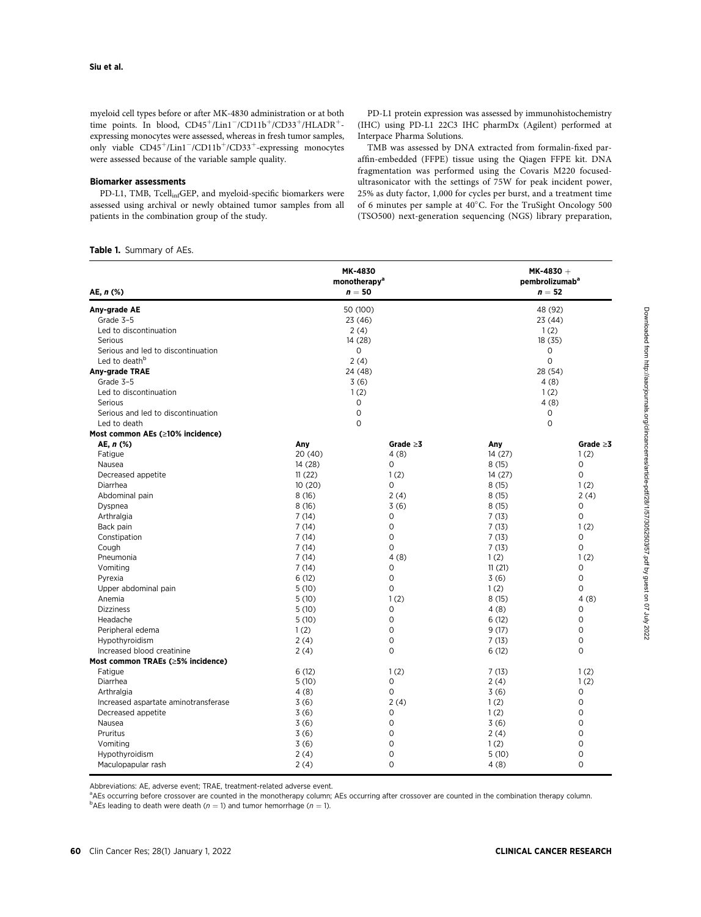myeloid cell types before or after MK-4830 administration or at both time points. In blood,  $CD45^+$ /Lin $1^-$ /CD $11b^+$ /CD $33^+$ /HLADR<sup>+</sup>expressing monocytes were assessed, whereas in fresh tumor samples, only viable CD45<sup>+</sup>/Lin1<sup>-</sup>/CD11b<sup>+</sup>/CD33<sup>+</sup>-expressing monocytes were assessed because of the variable sample quality.

### Biomarker assessments

PD-L1, TMB, TcellinfGEP, and myeloid-specific biomarkers were assessed using archival or newly obtained tumor samples from all patients in the combination group of the study.

PD-L1 protein expression was assessed by immunohistochemistry (IHC) using PD-L1 22C3 IHC pharmDx (Agilent) performed at Interpace Pharma Solutions.

TMB was assessed by DNA extracted from formalin-fixed paraffin-embedded (FFPE) tissue using the Qiagen FFPE kit. DNA fragmentation was performed using the Covaris M220 focusedultrasonicator with the settings of 75W for peak incident power, 25% as duty factor, 1,000 for cycles per burst, and a treatment time of 6 minutes per sample at  $40^{\circ}$ C. For the TruSight Oncology 500 (TSO500) next-generation sequencing (NGS) library preparation,

# Table 1. Summary of AEs.

| AE, $n$ (%)                          | MK-4830<br>monotherapy <sup>a</sup><br>$n=50$ |                | $MK-4830 +$<br>pembrolizumab <sup>a</sup><br>$n=52$ |                |
|--------------------------------------|-----------------------------------------------|----------------|-----------------------------------------------------|----------------|
| Any-grade AE                         |                                               | 50 (100)       |                                                     | 48 (92)        |
| Grade 3-5                            |                                               | 23(46)         | 23 (44)                                             |                |
| Led to discontinuation               | 2(4)                                          |                | 1(2)                                                |                |
| Serious                              | 14 (28)                                       |                | 18(35)                                              |                |
| Serious and led to discontinuation   | 0                                             |                | 0                                                   |                |
| Led to death <sup>b</sup>            | 2(4)                                          |                | $\Omega$                                            |                |
| Any-grade TRAE                       | 24 (48)                                       |                | 28 (54)                                             |                |
| Grade 3-5                            | 3(6)                                          |                | 4(8)                                                |                |
| Led to discontinuation               | 1(2)                                          |                | 1(2)                                                |                |
| Serious                              | $\circ$                                       |                | 4(8)                                                |                |
| Serious and led to discontinuation   | 0                                             |                | 0                                                   |                |
| Led to death                         | $\Omega$                                      |                | $\circ$                                             |                |
| Most common AEs (≥10% incidence)     |                                               |                |                                                     |                |
| AE, $n$ (%)                          | Any                                           | Grade $\geq$ 3 | Any                                                 | Grade $\geq 3$ |
| Fatigue                              | 20(40)                                        | 4(8)           | 14(27)                                              | 1(2)           |
| Nausea                               | 14 (28)                                       | $\Omega$       | 8(15)                                               | $\Omega$       |
| Decreased appetite                   | 11(22)                                        | 1(2)           | 14(27)                                              | $\Omega$       |
| Diarrhea                             | 10(20)                                        | $\Omega$       | 8(15)                                               | 1(2)           |
| Abdominal pain                       | 8(16)                                         | 2(4)           | 8(15)                                               | 2(4)           |
| Dyspnea                              | 8(16)                                         | 3(6)           | 8(15)                                               | 0              |
| Arthralgia                           | 7(14)                                         | 0              | 7(13)                                               | $\circ$        |
| Back pain                            | 7(14)                                         | $\mathbf 0$    | 7(13)                                               | 1(2)           |
| Constipation                         | 7(14)                                         | $\mathbf 0$    | 7(13)                                               | 0              |
| Cough                                | 7(14)                                         | $\mathbf 0$    | 7(13)                                               | $\mathsf{O}$   |
| Pneumonia                            | 7(14)                                         | 4(8)           | 1(2)                                                | 1(2)           |
| Vomiting                             | 7(14)                                         | $\mathbf 0$    | 11(21)                                              | $\circ$        |
| Pyrexia                              | 6(12)                                         | $\mathbf 0$    | 3(6)                                                | $\circ$        |
| Upper abdominal pain                 | 5(10)                                         | $\mathbf 0$    | 1(2)                                                | 0              |
| Anemia                               | 5(10)                                         | 1(2)           | 8(15)                                               | 4(8)           |
| <b>Dizziness</b>                     | 5(10)                                         | $\mathbf 0$    | 4(8)                                                | $\mathbf 0$    |
| Headache                             | 5(10)                                         | $\mathbf 0$    | 6(12)                                               | $\mathbf 0$    |
| Peripheral edema                     | 1(2)                                          | $\mathbf 0$    | 9(17)                                               | $\circ$        |
| Hypothyroidism                       | 2(4)                                          | $\mathbf 0$    | 7(13)                                               | $\Omega$       |
| Increased blood creatinine           | 2(4)                                          | $\Omega$       | 6(12)                                               | $\Omega$       |
| Most common TRAEs (≥5% incidence)    |                                               |                |                                                     |                |
| Fatigue                              | 6(12)                                         | 1(2)           | 7(13)                                               | 1(2)           |
| Diarrhea                             | 5(10)                                         | $\mathbf 0$    | 2(4)                                                | 1(2)           |
| Arthralgia                           | 4(8)                                          | $\mathsf{O}$   | 3(6)                                                | $\mathbf 0$    |
| Increased aspartate aminotransferase | 3(6)                                          | 2(4)           | 1(2)                                                | $\mathbf 0$    |
| Decreased appetite                   | 3(6)                                          | 0              | 1(2)                                                | $\mathbf 0$    |
| Nausea                               | 3(6)                                          | $\mathbf 0$    | 3(6)                                                | 0              |
| Pruritus                             | 3(6)                                          | $\mathbf 0$    | 2(4)                                                | $\mathbf 0$    |
| Vomiting                             | 3(6)                                          | $\mathbf 0$    | 1(2)                                                | 0              |
| Hypothyroidism                       | 2(4)                                          | 0              | 5(10)                                               | $\mathbf 0$    |
| Maculopapular rash                   | 2(4)                                          | $\mathbf 0$    | 4(8)                                                | 0              |

Abbreviations: AE, adverse event; TRAE, treatment-related adverse event.

a<br>AEs occurring before crossover are counted in the monotherapy column; AEs occurring after crossover are counted in the combination therapy column.

<sup>b</sup>AEs leading to death were death ( $n = 1$ ) and tumor hemorrhage ( $n = 1$ ).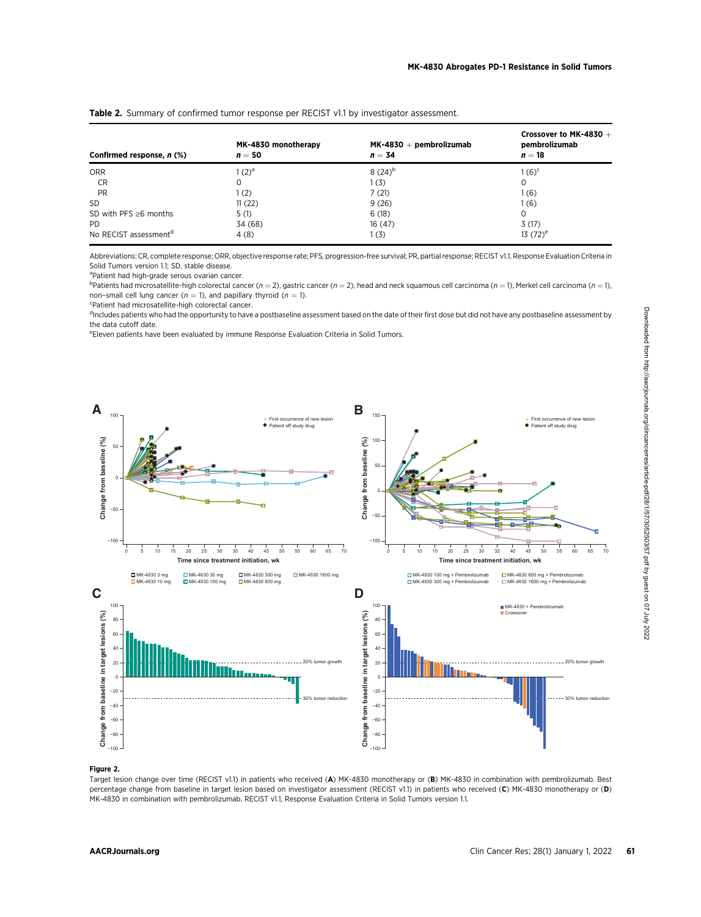| Confirmed response, n (%)         | MK-4830 monotherapy<br>$n=50$ | $MK-4830 + pembrolizumab$<br>$n = 34$ | Crossover to MK-4830 $+$<br>pembrolizumab<br>$n=18$ |  |
|-----------------------------------|-------------------------------|---------------------------------------|-----------------------------------------------------|--|
| <b>ORR</b>                        | $(2)^a$                       | $8(24)^{b}$                           | 1 (6) <sup>c</sup>                                  |  |
| CR                                | 0                             | 1(3)                                  | 0                                                   |  |
| PR                                | (2)                           | 7(21)                                 | 1 (6)                                               |  |
| <b>SD</b>                         | 11(22)                        | 9(26)                                 | 1 (6)                                               |  |
| SD with PFS $\geq 6$ months       | 5(1)                          | 6(18)                                 | $\Omega$                                            |  |
| PD.                               | 34 (68)                       | 16(47)                                | 3(17)                                               |  |
| No RECIST assessment <sup>d</sup> | 4(8)                          | 1 (3)                                 | 13 $(72)^e$                                         |  |

Table 2. Summary of confirmed tumor response per RECIST v1.1 by investigator assessment.

Abbreviations: CR, complete response; ORR, objective response rate; PFS, progression-free survival; PR, partial response; RECIST v1.1, Response Evaluation Criteria in Solid Tumors version 1.1; SD, stable disease.

<sup>a</sup>Patient had high-grade serous ovarian cancer.

<sup>b</sup>Patients had microsatellite-high colorectal cancer (*n* = 2), gastric cancer (*n* = 2), head and neck squamous cell carcinoma (*n* = 1), Merkel cell carcinoma (*n* = 1), non–small cell lung cancer ( $n = 1$ ), and papillary thyroid ( $n = 1$ ).

Patient had microsatellite-high colorectal cancer.

<sup>d</sup>includes patients who had the opportunity to have a postbaseline assessment based on the date of their first dose but did not have any postbaseline assessment by the data cutoff date.

e Eleven patients have been evaluated by immune Response Evaluation Criteria in Solid Tumors.



#### Figure 2.

Target lesion change over time (RECIST v1.1) in patients who received (A) MK-4830 monotherapy or (B) MK-4830 in combination with pembrolizumab. Best percentage change from baseline in target lesion based on investigator assessment (RECIST v1.1) in patients who received (C) MK-4830 monotherapy or (D) MK-4830 in combination with pembrolizumab. RECIST v1.1, Response Evaluation Criteria in Solid Tumors version 1.1.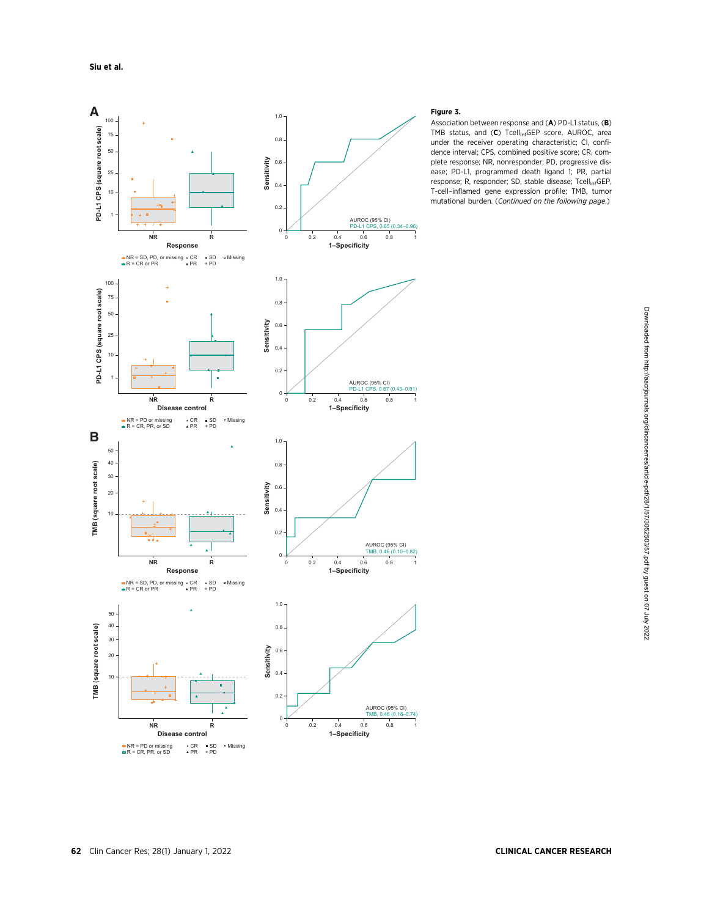

# Figure 3.

Association between response and (A) PD-L1 status, (B) TMB status, and (C) Tcell<sub>inf</sub>GEP score. AUROC, area under the receiver operating characteristic; CI, confidence interval; CPS, combined positive score; CR, complete response; NR, nonresponder; PD, progressive disease; PD-L1, programmed death ligand 1; PR, partial response; R, responder; SD, stable disease; Tcell<sub>inf</sub>GEP, T-cell–inflamed gene expression profile; TMB, tumor mutational burden. (Continued on the following page.)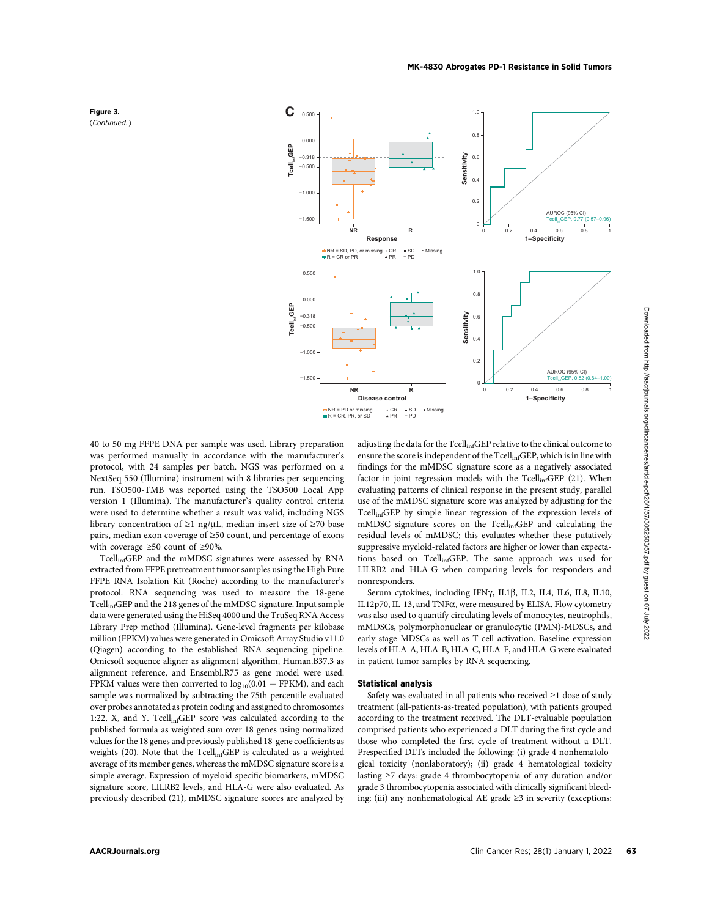

40 to 50 mg FFPE DNA per sample was used. Library preparation was performed manually in accordance with the manufacturer's protocol, with 24 samples per batch. NGS was performed on a NextSeq 550 (Illumina) instrument with 8 libraries per sequencing run. TSO500-TMB was reported using the TSO500 Local App version 1 (Illumina). The manufacturer's quality control criteria were used to determine whether a result was valid, including NGS library concentration of  $\geq 1$  ng/µL, median insert size of  $\geq 70$  base pairs, median exon coverage of ≥50 count, and percentage of exons with coverage ≥50 count of ≥90%.

TcellinfGEP and the mMDSC signatures were assessed by RNA extracted from FFPE pretreatment tumor samples using the High Pure FFPE RNA Isolation Kit (Roche) according to the manufacturer's protocol. RNA sequencing was used to measure the 18-gene TcellinfGEP and the 218 genes of the mMDSC signature. Input sample data were generated using the HiSeq 4000 and the TruSeq RNA Access Library Prep method (Illumina). Gene-level fragments per kilobase million (FPKM) values were generated in Omicsoft Array Studio v11.0 (Qiagen) according to the established RNA sequencing pipeline. Omicsoft sequence aligner as alignment algorithm, Human.B37.3 as alignment reference, and Ensembl.R75 as gene model were used. FPKM values were then converted to  $log_{10}(0.01 + FPKM)$ , and each sample was normalized by subtracting the 75th percentile evaluated over probes annotated as protein coding and assigned to chromosomes 1:22, X, and Y. Tcell<sub>inf</sub>GEP score was calculated according to the published formula as weighted sum over 18 genes using normalized values for the 18 genes and previously published 18-gene coefficients as weights (20). Note that the Tcell<sub>inf</sub>GEP is calculated as a weighted average of its member genes, whereas the mMDSC signature score is a simple average. Expression of myeloid-specific biomarkers, mMDSC signature score, LILRB2 levels, and HLA-G were also evaluated. As previously described (21), mMDSC signature scores are analyzed by adjusting the data for the TcellinfGEP relative to the clinical outcome to ensure the score is independent of the TcellinfGEP, which is in line with findings for the mMDSC signature score as a negatively associated factor in joint regression models with the Tcell<sub>inf</sub>GEP (21). When evaluating patterns of clinical response in the present study, parallel use of the mMDSC signature score was analyzed by adjusting for the TcellinfGEP by simple linear regression of the expression levels of mMDSC signature scores on the Tcell<sub>inf</sub>GEP and calculating the residual levels of mMDSC; this evaluates whether these putatively suppressive myeloid-related factors are higher or lower than expectations based on TcellinfGEP. The same approach was used for LILRB2 and HLA-G when comparing levels for responders and nonresponders.

Serum cytokines, including IFNy, IL1 $\beta$ , IL2, IL4, IL6, IL8, IL10, IL12p70, IL-13, and TNF $\alpha$ , were measured by ELISA. Flow cytometry was also used to quantify circulating levels of monocytes, neutrophils, mMDSCs, polymorphonuclear or granulocytic (PMN)-MDSCs, and early-stage MDSCs as well as T-cell activation. Baseline expression levels of HLA-A, HLA-B, HLA-C, HLA-F, and HLA-G were evaluated in patient tumor samples by RNA sequencing.

#### Statistical analysis

Safety was evaluated in all patients who received ≥1 dose of study treatment (all-patients-as-treated population), with patients grouped according to the treatment received. The DLT-evaluable population comprised patients who experienced a DLT during the first cycle and those who completed the first cycle of treatment without a DLT. Prespecified DLTs included the following: (i) grade 4 nonhematological toxicity (nonlaboratory); (ii) grade 4 hematological toxicity lasting ≥7 days: grade 4 thrombocytopenia of any duration and/or grade 3 thrombocytopenia associated with clinically significant bleeding; (iii) any nonhematological AE grade ≥3 in severity (exceptions:

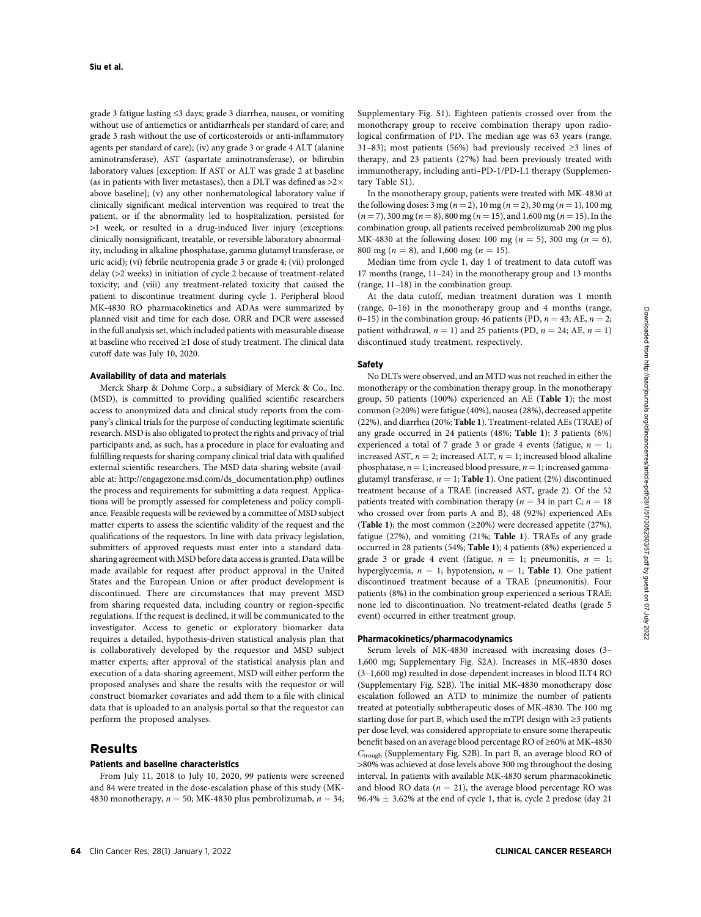grade 3 fatigue lasting ≤3 days; grade 3 diarrhea, nausea, or vomiting without use of antiemetics or antidiarrheals per standard of care; and grade 3 rash without the use of corticosteroids or anti-inflammatory agents per standard of care); (iv) any grade 3 or grade 4 ALT (alanine aminotransferase), AST (aspartate aminotransferase), or bilirubin laboratory values [exception: If AST or ALT was grade 2 at baseline (as in patients with liver metastases), then a DLT was defined as  $>2\times$ above baseline]; (v) any other nonhematological laboratory value if clinically significant medical intervention was required to treat the patient, or if the abnormality led to hospitalization, persisted for >1 week, or resulted in a drug-induced liver injury (exceptions: clinically nonsignificant, treatable, or reversible laboratory abnormality, including in alkaline phosphatase, gamma glutamyl transferase, or uric acid); (vi) febrile neutropenia grade 3 or grade 4; (vii) prolonged delay (>2 weeks) in initiation of cycle 2 because of treatment-related toxicity; and (viii) any treatment-related toxicity that caused the patient to discontinue treatment during cycle 1. Peripheral blood MK-4830 RO pharmacokinetics and ADAs were summarized by planned visit and time for each dose. ORR and DCR were assessed in the full analysis set, which included patients with measurable disease at baseline who received ≥1 dose of study treatment. The clinical data cutoff date was July 10, 2020.

#### Availability of data and materials

Merck Sharp & Dohme Corp., a subsidiary of Merck & Co., Inc. (MSD), is committed to providing qualified scientific researchers access to anonymized data and clinical study reports from the company's clinical trials for the purpose of conducting legitimate scientific research. MSD is also obligated to protect the rights and privacy of trial participants and, as such, has a procedure in place for evaluating and fulfilling requests for sharing company clinical trial data with qualified external scientific researchers. The MSD data-sharing website (available at: [http://engagezone.msd.com/ds\\_documentation.php\)](http://engagezone.msd.com/ds_documentation.php) outlines the process and requirements for submitting a data request. Applications will be promptly assessed for completeness and policy compliance. Feasible requests will be reviewed by a committee of MSD subject matter experts to assess the scientific validity of the request and the qualifications of the requestors. In line with data privacy legislation, submitters of approved requests must enter into a standard datasharing agreement with MSD before data access is granted. Data will be made available for request after product approval in the United States and the European Union or after product development is discontinued. There are circumstances that may prevent MSD from sharing requested data, including country or region-specific regulations. If the request is declined, it will be communicated to the investigator. Access to genetic or exploratory biomarker data requires a detailed, hypothesis-driven statistical analysis plan that is collaboratively developed by the requestor and MSD subject matter experts; after approval of the statistical analysis plan and execution of a data-sharing agreement, MSD will either perform the proposed analyses and share the results with the requestor or will construct biomarker covariates and add them to a file with clinical data that is uploaded to an analysis portal so that the requestor can perform the proposed analyses.

# Results

# Patients and baseline characteristics

From July 11, 2018 to July 10, 2020, 99 patients were screened and 84 were treated in the dose-escalation phase of this study (MK-4830 monotherapy,  $n = 50$ ; MK-4830 plus pembrolizumab,  $n = 34$ ; Supplementary Fig. S1). Eighteen patients crossed over from the monotherapy group to receive combination therapy upon radiological confirmation of PD. The median age was 63 years (range, 31–83); most patients (56%) had previously received ≥3 lines of therapy, and 23 patients (27%) had been previously treated with immunotherapy, including anti–PD-1/PD-L1 therapy (Supplementary Table S1).

In the monotherapy group, patients were treated with MK-4830 at the following doses:  $3 \text{ mg} (n = 2)$ ,  $10 \text{ mg} (n = 2)$ ,  $30 \text{ mg} (n = 1)$ ,  $100 \text{ mg}$  $(n = 7)$ , 300 mg  $(n = 8)$ , 800 mg  $(n = 15)$ , and 1,600 mg  $(n = 15)$ . In the combination group, all patients received pembrolizumab 200 mg plus MK-4830 at the following doses: 100 mg ( $n = 5$ ), 300 mg ( $n = 6$ ), 800 mg ( $n = 8$ ), and 1,600 mg ( $n = 15$ ).

Median time from cycle 1, day 1 of treatment to data cutoff was 17 months (range, 11–24) in the monotherapy group and 13 months (range, 11–18) in the combination group.

At the data cutoff, median treatment duration was 1 month (range, 0–16) in the monotherapy group and 4 months (range, 0–15) in the combination group; 46 patients (PD,  $n = 43$ ; AE,  $n = 2$ ; patient withdrawal,  $n = 1$ ) and 25 patients (PD,  $n = 24$ ; AE,  $n = 1$ ) discontinued study treatment, respectively.

#### Safety

No DLTs were observed, and an MTD was not reached in either the monotherapy or the combination therapy group. In the monotherapy group, 50 patients (100%) experienced an AE (Table 1); the most common (≥20%) were fatigue (40%), nausea (28%), decreased appetite (22%), and diarrhea (20%; Table 1). Treatment-related AEs (TRAE) of any grade occurred in 24 patients (48%; Table 1); 3 patients (6%) experienced a total of 7 grade 3 or grade 4 events (fatigue,  $n = 1$ ; increased AST,  $n = 2$ ; increased ALT,  $n = 1$ ; increased blood alkaline phosphatase,  $n = 1$ ; increased blood pressure,  $n = 1$ ; increased gammaglutamyl transferase,  $n = 1$ ; Table 1). One patient (2%) discontinued treatment because of a TRAE (increased AST, grade 2). Of the 52 patients treated with combination therapy ( $n = 34$  in part C;  $n = 18$ ) who crossed over from parts A and B), 48 (92%) experienced AEs (Table 1); the most common (≥20%) were decreased appetite (27%), fatigue (27%), and vomiting (21%; Table 1). TRAEs of any grade occurred in 28 patients (54%; Table 1); 4 patients (8%) experienced a grade 3 or grade 4 event (fatigue,  $n = 1$ ; pneumonitis,  $n = 1$ ; hyperglycemia,  $n = 1$ ; hypotension,  $n = 1$ ; Table 1). One patient discontinued treatment because of a TRAE (pneumonitis). Four patients (8%) in the combination group experienced a serious TRAE; none led to discontinuation. No treatment-related deaths (grade 5 event) occurred in either treatment group.

# Pharmacokinetics/pharmacodynamics

Serum levels of MK-4830 increased with increasing doses (3– 1,600 mg; Supplementary Fig. S2A). Increases in MK-4830 doses (3–1,600 mg) resulted in dose-dependent increases in blood ILT4 RO (Supplementary Fig. S2B). The initial MK-4830 monotherapy dose escalation followed an ATD to minimize the number of patients treated at potentially subtherapeutic doses of MK-4830. The 100 mg starting dose for part B, which used the mTPI design with ≥3 patients per dose level, was considered appropriate to ensure some therapeutic benefit based on an average blood percentage RO of ≥60% at MK-4830  $C_{\text{trough}}$  (Supplementary Fig. S2B). In part B, an average blood RO of >80% was achieved at dose levels above 300 mg throughout the dosing interval. In patients with available MK-4830 serum pharmacokinetic and blood RO data ( $n = 21$ ), the average blood percentage RO was  $96.4\% \pm 3.62\%$  at the end of cycle 1, that is, cycle 2 predose (day 21)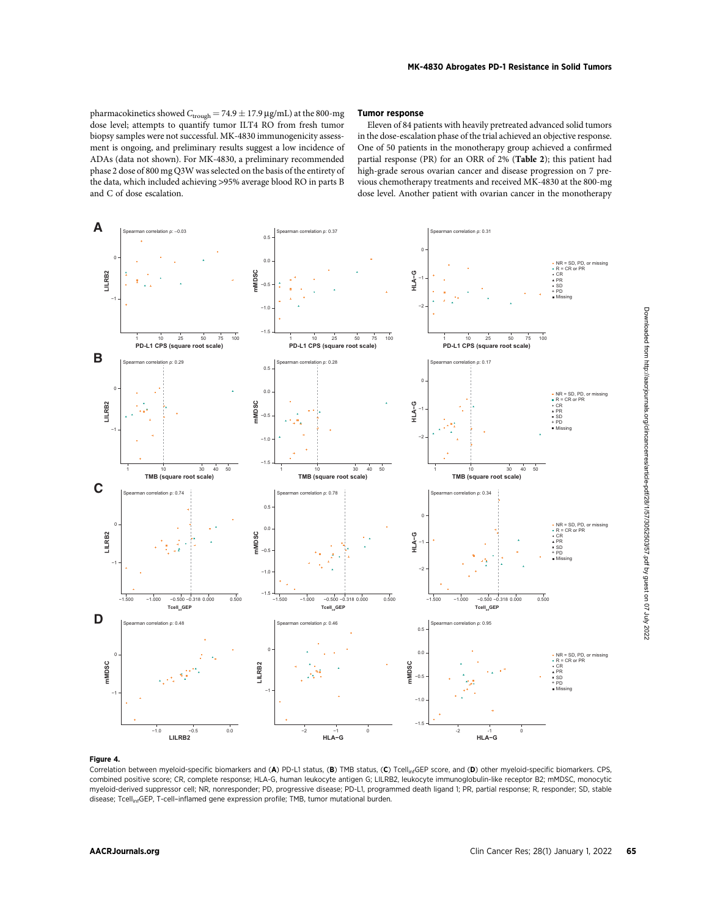pharmacokinetics showed  $C_{\text{trough}} = 74.9 \pm 17.9$  µg/mL) at the 800-mg dose level; attempts to quantify tumor ILT4 RO from fresh tumor biopsy samples were not successful. MK-4830 immunogenicity assessment is ongoing, and preliminary results suggest a low incidence of ADAs (data not shown). For MK-4830, a preliminary recommended phase 2 dose of 800 mg Q3W was selected on the basis of the entirety of the data, which included achieving >95% average blood RO in parts B and C of dose escalation.

#### Tumor response

Eleven of 84 patients with heavily pretreated advanced solid tumors in the dose-escalation phase of the trial achieved an objective response. One of 50 patients in the monotherapy group achieved a confirmed partial response (PR) for an ORR of 2% (Table 2); this patient had high-grade serous ovarian cancer and disease progression on 7 previous chemotherapy treatments and received MK-4830 at the 800-mg dose level. Another patient with ovarian cancer in the monotherapy



#### Figure 4.

Correlation between myeloid-specific biomarkers and (A) PD-L1 status, (B) TMB status, (C) Tcell<sub>inf</sub>GEP score, and (D) other myeloid-specific biomarkers. CPS, combined positive score; CR, complete response; HLA-G, human leukocyte antigen G; LILRB2, leukocyte immunoglobulin-like receptor B2; mMDSC, monocytic myeloid-derived suppressor cell; NR, nonresponder; PD, progressive disease; PD-L1, programmed death ligand 1; PR, partial response; R, responder; SD, stable disease; Tcell<sub>inf</sub>GEP, T-cell-inflamed gene expression profile; TMB, tumor mutational burden.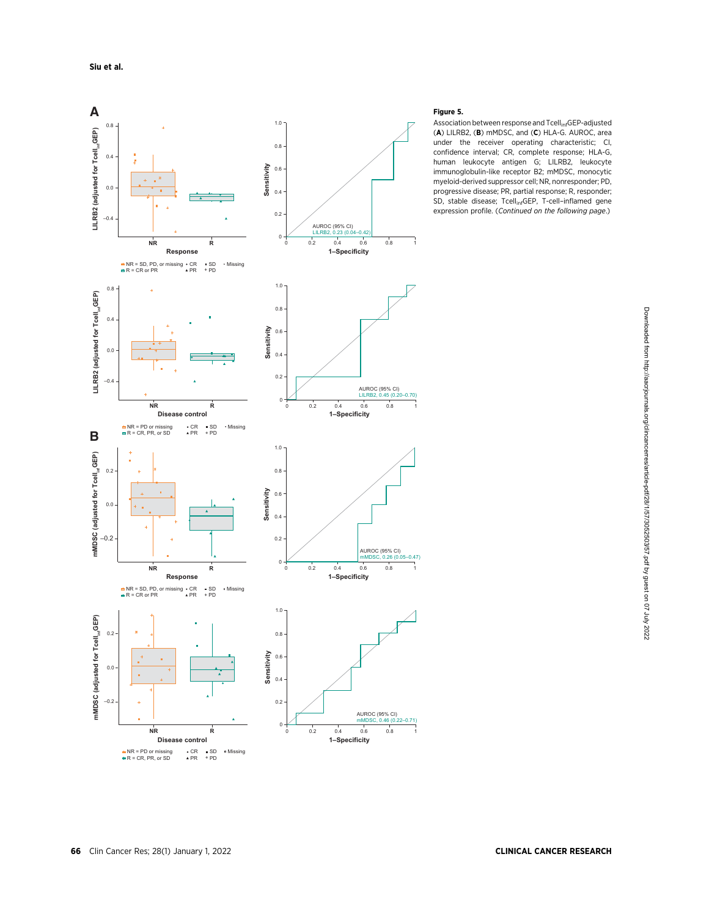

# Figure 5.

Association between response and Tcell<sub>inf</sub>GEP-adjusted (A) LILRB2, (B) mMDSC, and (C) HLA-G. AUROC, area under the receiver operating characteristic; CI, confidence interval; CR, complete response; HLA-G, human leukocyte antigen G; LILRB2, leukocyte immunoglobulin-like receptor B2; mMDSC, monocytic myeloid-derived suppressor cell; NR, nonresponder; PD, progressive disease; PR, partial response; R, responder; SD, stable disease; Tcell<sub>inf</sub>GEP, T-cell-inflamed gene expression profile. (Continued on the following page.)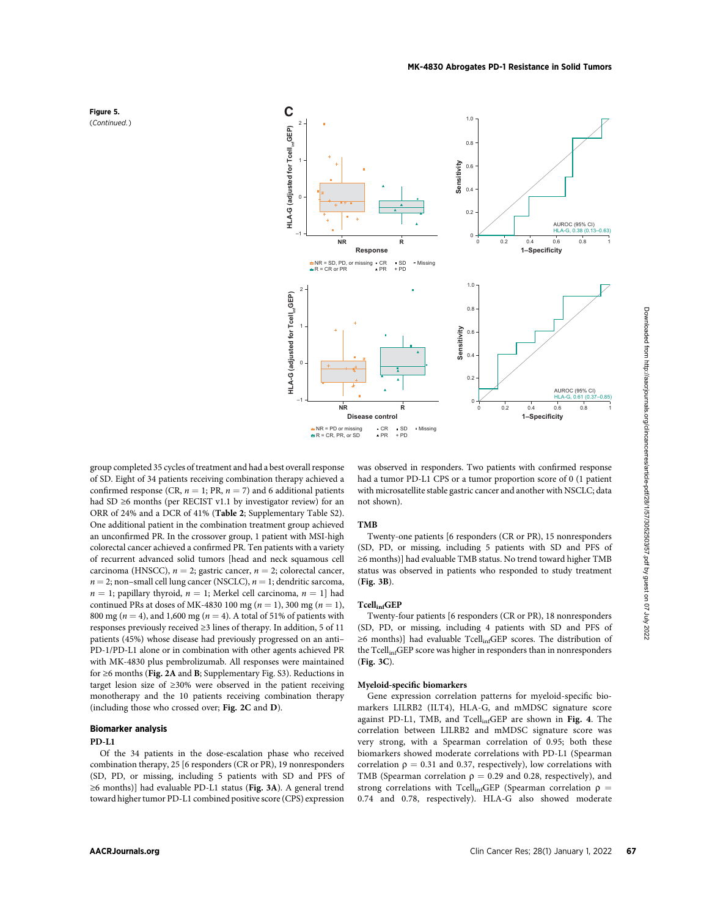



group completed 35 cycles of treatment and had a best overall response of SD. Eight of 34 patients receiving combination therapy achieved a confirmed response (CR,  $n = 1$ ; PR,  $n = 7$ ) and 6 additional patients had SD ≥6 months (per RECIST v1.1 by investigator review) for an ORR of 24% and a DCR of 41% (Table 2; Supplementary Table S2). One additional patient in the combination treatment group achieved an unconfirmed PR. In the crossover group, 1 patient with MSI-high colorectal cancer achieved a confirmed PR. Ten patients with a variety of recurrent advanced solid tumors [head and neck squamous cell carcinoma (HNSCC),  $n = 2$ ; gastric cancer,  $n = 2$ ; colorectal cancer,  $n = 2$ ; non–small cell lung cancer (NSCLC),  $n = 1$ ; dendritic sarcoma,  $n = 1$ ; papillary thyroid,  $n = 1$ ; Merkel cell carcinoma,  $n = 1$ ] had continued PRs at doses of MK-4830 100 mg ( $n = 1$ ), 300 mg ( $n = 1$ ), 800 mg ( $n = 4$ ), and 1,600 mg ( $n = 4$ ). A total of 51% of patients with responses previously received ≥3 lines of therapy. In addition, 5 of 11 patients (45%) whose disease had previously progressed on an anti– PD-1/PD-L1 alone or in combination with other agents achieved PR with MK-4830 plus pembrolizumab. All responses were maintained for ≥6 months (Fig. 2A and B; Supplementary Fig. S3). Reductions in target lesion size of ≥30% were observed in the patient receiving monotherapy and the 10 patients receiving combination therapy (including those who crossed over; Fig. 2C and D).

### Biomarker analysis

# PD-L1

Of the 34 patients in the dose-escalation phase who received combination therapy, 25 [6 responders (CR or PR), 19 nonresponders (SD, PD, or missing, including 5 patients with SD and PFS of ≥6 months)] had evaluable PD-L1 status (Fig. 3A). A general trend toward higher tumor PD-L1 combined positive score (CPS) expression was observed in responders. Two patients with confirmed response had a tumor PD-L1 CPS or a tumor proportion score of 0 (1 patient with microsatellite stable gastric cancer and another with NSCLC; data not shown).

#### TMB

Twenty-one patients [6 responders (CR or PR), 15 nonresponders (SD, PD, or missing, including 5 patients with SD and PFS of ≥6 months)] had evaluable TMB status. No trend toward higher TMB status was observed in patients who responded to study treatment (Fig. 3B).

#### TcellinfGEP

Twenty-four patients [6 responders (CR or PR), 18 nonresponders (SD, PD, or missing, including 4 patients with SD and PFS of ≥6 months)] had evaluable Tcell<sub>inf</sub>GEP scores. The distribution of the Tcell<sub>inf</sub>GEP score was higher in responders than in nonresponders (Fig. 3C).

# Myeloid-specific biomarkers

Gene expression correlation patterns for myeloid-specific biomarkers LILRB2 (ILT4), HLA-G, and mMDSC signature score against PD-L1, TMB, and Tcell<sub>inf</sub>GEP are shown in Fig. 4. The correlation between LILRB2 and mMDSC signature score was very strong, with a Spearman correlation of 0.95; both these biomarkers showed moderate correlations with PD-L1 (Spearman correlation  $\rho = 0.31$  and 0.37, respectively), low correlations with TMB (Spearman correlation  $\rho = 0.29$  and 0.28, respectively), and strong correlations with Tcell<sub>inf</sub>GEP (Spearman correlation  $\rho =$ 0.74 and 0.78, respectively). HLA-G also showed moderate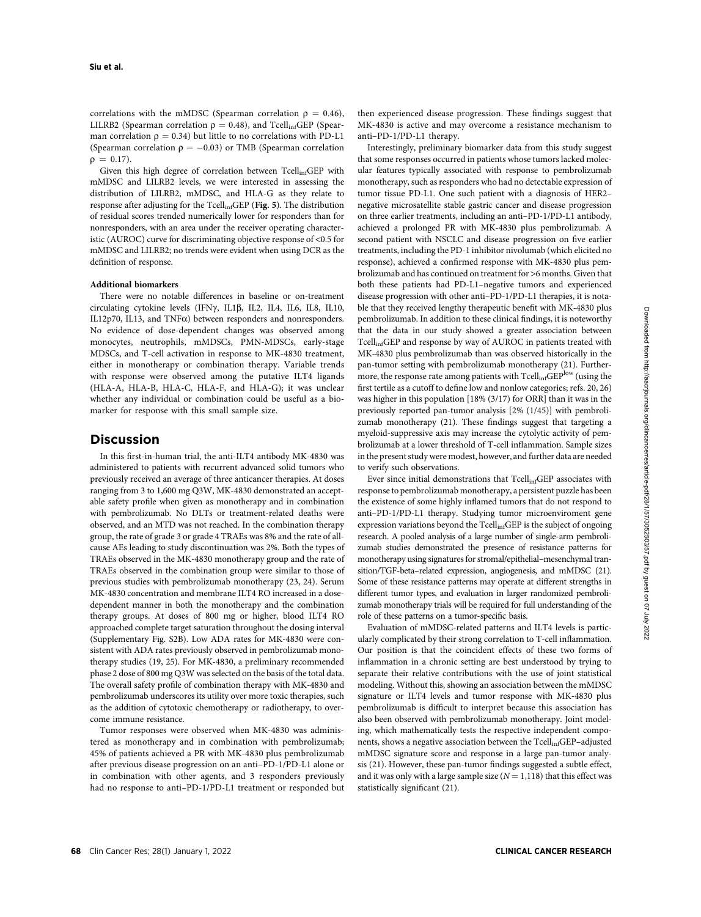correlations with the mMDSC (Spearman correlation  $\rho = 0.46$ ), LILRB2 (Spearman correlation  $\rho = 0.48$ ), and Tcell<sub>inf</sub>GEP (Spearman correlation  $\rho = 0.34$ ) but little to no correlations with PD-L1 (Spearman correlation  $\rho = -0.03$ ) or TMB (Spearman correlation<br> $\rho = 0.17$ )  $\rho = 0.17$ ).

Given this high degree of correlation between  $Tcell_{inf}GEP$  with mMDSC and LILRB2 levels, we were interested in assessing the distribution of LILRB2, mMDSC, and HLA-G as they relate to response after adjusting for the TcellinfGEP (Fig. 5). The distribution of residual scores trended numerically lower for responders than for nonresponders, with an area under the receiver operating characteristic (AUROC) curve for discriminating objective response of <0.5 for mMDSC and LILRB2; no trends were evident when using DCR as the definition of response.

#### Additional biomarkers

There were no notable differences in baseline or on-treatment circulating cytokine levels (IFN $\gamma$ , IL1 $\beta$ , IL2, IL4, IL6, IL8, IL10, IL12p70, IL13, and TNF $\alpha$ ) between responders and nonresponders. No evidence of dose-dependent changes was observed among monocytes, neutrophils, mMDSCs, PMN-MDSCs, early-stage MDSCs, and T-cell activation in response to MK-4830 treatment, either in monotherapy or combination therapy. Variable trends with response were observed among the putative ILT4 ligands (HLA-A, HLA-B, HLA-C, HLA-F, and HLA-G); it was unclear whether any individual or combination could be useful as a biomarker for response with this small sample size.

# Discussion

In this first-in-human trial, the anti-ILT4 antibody MK-4830 was administered to patients with recurrent advanced solid tumors who previously received an average of three anticancer therapies. At doses ranging from 3 to 1,600 mg Q3W, MK-4830 demonstrated an acceptable safety profile when given as monotherapy and in combination with pembrolizumab. No DLTs or treatment-related deaths were observed, and an MTD was not reached. In the combination therapy group, the rate of grade 3 or grade 4 TRAEs was 8% and the rate of allcause AEs leading to study discontinuation was 2%. Both the types of TRAEs observed in the MK-4830 monotherapy group and the rate of TRAEs observed in the combination group were similar to those of previous studies with pembrolizumab monotherapy (23, 24). Serum MK-4830 concentration and membrane ILT4 RO increased in a dosedependent manner in both the monotherapy and the combination therapy groups. At doses of 800 mg or higher, blood ILT4 RO approached complete target saturation throughout the dosing interval (Supplementary Fig. S2B). Low ADA rates for MK-4830 were consistent with ADA rates previously observed in pembrolizumab monotherapy studies (19, 25). For MK-4830, a preliminary recommended phase 2 dose of 800 mg Q3W was selected on the basis of the total data. The overall safety profile of combination therapy with MK-4830 and pembrolizumab underscores its utility over more toxic therapies, such as the addition of cytotoxic chemotherapy or radiotherapy, to overcome immune resistance.

Tumor responses were observed when MK-4830 was administered as monotherapy and in combination with pembrolizumab; 45% of patients achieved a PR with MK-4830 plus pembrolizumab after previous disease progression on an anti–PD-1/PD-L1 alone or in combination with other agents, and 3 responders previously had no response to anti–PD-1/PD-L1 treatment or responded but

then experienced disease progression. These findings suggest that MK-4830 is active and may overcome a resistance mechanism to anti–PD-1/PD-L1 therapy.

Interestingly, preliminary biomarker data from this study suggest that some responses occurred in patients whose tumors lacked molecular features typically associated with response to pembrolizumab monotherapy, such as responders who had no detectable expression of tumor tissue PD-L1. One such patient with a diagnosis of HER2– negative microsatellite stable gastric cancer and disease progression on three earlier treatments, including an anti–PD-1/PD-L1 antibody, achieved a prolonged PR with MK-4830 plus pembrolizumab. A second patient with NSCLC and disease progression on five earlier treatments, including the PD-1 inhibitor nivolumab (which elicited no response), achieved a confirmed response with MK-4830 plus pembrolizumab and has continued on treatment for >6 months. Given that both these patients had PD-L1–negative tumors and experienced disease progression with other anti–PD-1/PD-L1 therapies, it is notable that they received lengthy therapeutic benefit with MK-4830 plus pembrolizumab. In addition to these clinical findings, it is noteworthy that the data in our study showed a greater association between TcellinfGEP and response by way of AUROC in patients treated with MK-4830 plus pembrolizumab than was observed historically in the pan-tumor setting with pembrolizumab monotherapy (21). Furthermore, the response rate among patients with  $Tcell_{in}GEP^{low}$  (using the first tertile as a cutoff to define low and nonlow categories; refs. 20, 26) was higher in this population [18% (3/17) for ORR] than it was in the previously reported pan-tumor analysis [2% (1/45)] with pembrolizumab monotherapy (21). These findings suggest that targeting a myeloid-suppressive axis may increase the cytolytic activity of pembrolizumab at a lower threshold of T-cell inflammation. Sample sizes in the present study were modest, however, and further data are needed to verify such observations.

Ever since initial demonstrations that Tcell<sub>inf</sub>GEP associates with response to pembrolizumab monotherapy, a persistent puzzle has been the existence of some highly inflamed tumors that do not respond to anti–PD-1/PD-L1 therapy. Studying tumor microenviroment gene expression variations beyond the Tcell<sub>inf</sub>GEP is the subject of ongoing research. A pooled analysis of a large number of single-arm pembrolizumab studies demonstrated the presence of resistance patterns for monotherapy using signatures for stromal/epithelial–mesenchymal transition/TGF-beta–related expression, angiogenesis, and mMDSC (21). Some of these resistance patterns may operate at different strengths in different tumor types, and evaluation in larger randomized pembrolizumab monotherapy trials will be required for full understanding of the role of these patterns on a tumor-specific basis.

Evaluation of mMDSC-related patterns and ILT4 levels is particularly complicated by their strong correlation to T-cell inflammation. Our position is that the coincident effects of these two forms of inflammation in a chronic setting are best understood by trying to separate their relative contributions with the use of joint statistical modeling. Without this, showing an association between the mMDSC signature or ILT4 levels and tumor response with MK-4830 plus pembrolizumab is difficult to interpret because this association has also been observed with pembrolizumab monotherapy. Joint modeling, which mathematically tests the respective independent components, shows a negative association between the Tcell<sub>inf</sub>GEP-adjusted mMDSC signature score and response in a large pan-tumor analysis (21). However, these pan-tumor findings suggested a subtle effect, and it was only with a large sample size  $(N = 1,118)$  that this effect was statistically significant (21).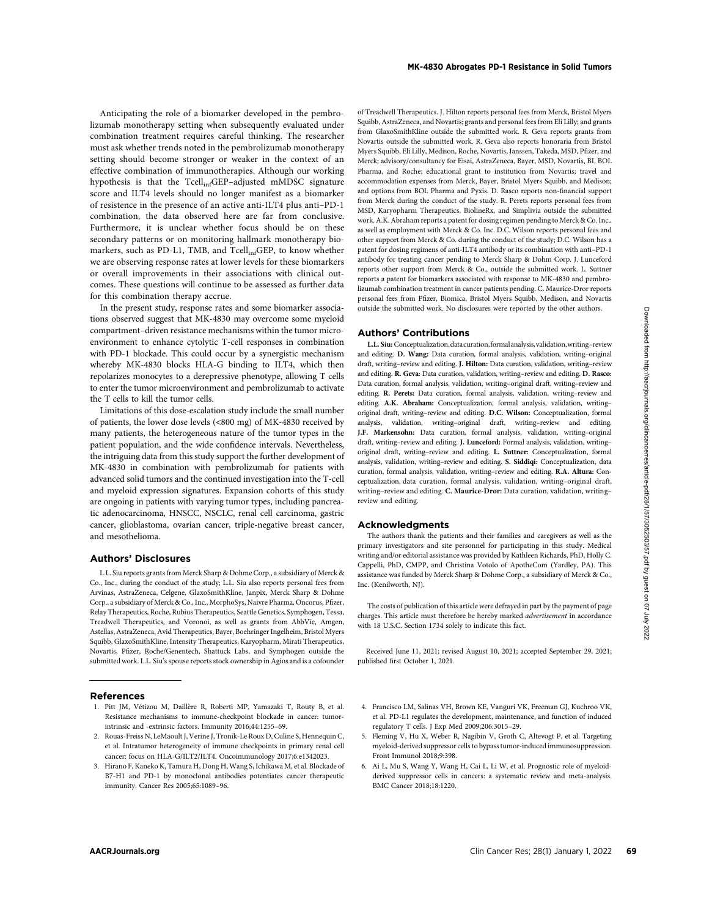Anticipating the role of a biomarker developed in the pembrolizumab monotherapy setting when subsequently evaluated under combination treatment requires careful thinking. The researcher must ask whether trends noted in the pembrolizumab monotherapy setting should become stronger or weaker in the context of an effective combination of immunotherapies. Although our working hypothesis is that the Tcell<sub>inf</sub>GEP-adjusted mMDSC signature score and ILT4 levels should no longer manifest as a biomarker of resistence in the presence of an active anti-ILT4 plus anti–PD-1 combination, the data observed here are far from conclusive. Furthermore, it is unclear whether focus should be on these secondary patterns or on monitoring hallmark monotherapy biomarkers, such as PD-L1, TMB, and Tcell<sub>inf</sub>GEP, to know whether we are observing response rates at lower levels for these biomarkers or overall improvements in their associations with clinical outcomes. These questions will continue to be assessed as further data for this combination therapy accrue.

In the present study, response rates and some biomarker associations observed suggest that MK-4830 may overcome some myeloid compartment–driven resistance mechanisms within the tumor microenvironment to enhance cytolytic T-cell responses in combination with PD-1 blockade. This could occur by a synergistic mechanism whereby MK-4830 blocks HLA-G binding to ILT4, which then repolarizes monocytes to a derepressive phenotype, allowing T cells to enter the tumor microenvironment and pembrolizumab to activate the T cells to kill the tumor cells.

Limitations of this dose-escalation study include the small number of patients, the lower dose levels (<800 mg) of MK-4830 received by many patients, the heterogeneous nature of the tumor types in the patient population, and the wide confidence intervals. Nevertheless, the intriguing data from this study support the further development of MK-4830 in combination with pembrolizumab for patients with advanced solid tumors and the continued investigation into the T-cell and myeloid expression signatures. Expansion cohorts of this study are ongoing in patients with varying tumor types, including pancreatic adenocarcinoma, HNSCC, NSCLC, renal cell carcinoma, gastric cancer, glioblastoma, ovarian cancer, triple-negative breast cancer, and mesothelioma.

#### Authors' Disclosures

L.L. Siu reports grants from Merck Sharp & Dohme Corp., a subsidiary of Merck & Co., Inc., during the conduct of the study; L.L. Siu also reports personal fees from Arvinas, AstraZeneca, Celgene, GlaxoSmithKline, Janpix, Merck Sharp & Dohme Corp., a subsidiary of Merck & Co., Inc., MorphoSys, Naivre Pharma, Oncorus, Pfizer, Relay Therapeutics, Roche, Rubius Therapeutics, Seattle Genetics, Symphogen, Tessa, Treadwell Therapeutics, and Voronoi, as well as grants from AbbVie, Amgen, Astellas, AstraZeneca, Avid Therapeutics, Bayer, Boehringer Ingelheim, Bristol Myers Squibb, GlaxoSmithKline, Intensity Therapeutics, Karyopharm, Mirati Therapeutics, Novartis, Pfizer, Roche/Genentech, Shattuck Labs, and Symphogen outside the submitted work. L.L. Siu's spouse reports stock ownership in Agios and is a cofounder

#### References

- 1. Pitt JM, Vetizou M, Daillere R, Roberti MP, Yamazaki T, Routy B, et al. Resistance mechanisms to immune-checkpoint blockade in cancer: tumorintrinsic and -extrinsic factors. Immunity 2016;44:1255–69.
- 2. Rouas-Freiss N, LeMaoult J, Verine J, Tronik-Le Roux D, Culine S, Hennequin C, et al. Intratumor heterogeneity of immune checkpoints in primary renal cell cancer: focus on HLA-G/ILT2/ILT4. Oncoimmunology 2017;6:e1342023.
- 3. Hirano F, Kaneko K, Tamura H, Dong H, Wang S, Ichikawa M, et al. Blockade of B7-H1 and PD-1 by monoclonal antibodies potentiates cancer therapeutic immunity. Cancer Res 2005;65:1089–96.

of Treadwell Therapeutics. J. Hilton reports personal fees from Merck, Bristol Myers Squibb, AstraZeneca, and Novartis; grants and personal fees from Eli Lilly; and grants from GlaxoSmithKline outside the submitted work. R. Geva reports grants from Novartis outside the submitted work. R. Geva also reports honoraria from Bristol Myers Squibb, Eli Lilly, Medison, Roche, Novartis, Janssen, Takeda, MSD, Pfizer, and Merck; advisory/consultancy for Eisai, AstraZeneca, Bayer, MSD, Novartis, BI, BOL Pharma, and Roche; educational grant to institution from Novartis; travel and accommodation expenses from Merck, Bayer, Bristol Myers Squibb, and Medison; and options from BOL Pharma and Pyxis. D. Rasco reports non-financial support from Merck during the conduct of the study. R. Perets reports personal fees from MSD, Karyopharm Therapeutics, BiolineRx, and Simplivia outside the submitted work. A.K. Abraham reports a patent for dosing regimen pending to Merck & Co. Inc., as well as employment with Merck & Co. Inc. D.C. Wilson reports personal fees and other support from Merck & Co. during the conduct of the study; D.C. Wilson has a patent for dosing regimens of anti-ILT4 antibody or its combination with anti–PD-1 antibody for treating cancer pending to Merck Sharp & Dohm Corp. J. Lunceford reports other support from Merck & Co., outside the submitted work. L. Suttner reports a patent for biomarkers associated with response to MK-4830 and pembrolizumab combination treatment in cancer patients pending. C. Maurice-Dror reports personal fees from Pfizer, Biomica, Bristol Myers Squibb, Medison, and Novartis outside the submitted work. No disclosures were reported by the other authors.

#### Authors' Contributions

L.L. Siu:Conceptualization,datacuration,formalanalysis,validation,writing–review and editing. D. Wang: Data curation, formal analysis, validation, writing–original draft, writing–review and editing. J. Hilton: Data curation, validation, writing–review and editing. R. Geva: Data curation, validation, writing–review and editing. D. Rasco: Data curation, formal analysis, validation, writing–original draft, writing–review and editing. R. Perets: Data curation, formal analysis, validation, writing–review and editing. A.K. Abraham: Conceptualization, formal analysis, validation, writing– original draft, writing–review and editing. D.C. Wilson: Conceptualization, formal analysis, validation, writing–original draft, writing–review and editing. J.F. Markensohn: Data curation, formal analysis, validation, writing–original draft, writing–review and editing. J. Lunceford: Formal analysis, validation, writing– original draft, writing–review and editing. L. Suttner: Conceptualization, formal analysis, validation, writing–review and editing. S. Siddiqi: Conceptualization, data curation, formal analysis, validation, writing–review and editing. R.A. Altura: Conceptualization, data curation, formal analysis, validation, writing–original draft, writing–review and editing. C. Maurice-Dror: Data curation, validation, writing– review and editing.

### Acknowledgments

The authors thank the patients and their families and caregivers as well as the primary investigators and site personnel for participating in this study. Medical writing and/or editorial assistance was provided by Kathleen Richards, PhD, Holly C. Cappelli, PhD, CMPP, and Christina Votolo of ApotheCom (Yardley, PA). This assistance was funded by Merck Sharp & Dohme Corp., a subsidiary of Merck & Co., Inc. (Kenilworth, NJ).

The costs of publication of this article were defrayed in part by the payment of page charges. This article must therefore be hereby marked advertisement in accordance with 18 U.S.C. Section 1734 solely to indicate this fact.

Received June 11, 2021; revised August 10, 2021; accepted September 29, 2021; published first October 1, 2021.

- 4. Francisco LM, Salinas VH, Brown KE, Vanguri VK, Freeman GJ, Kuchroo VK, et al. PD-L1 regulates the development, maintenance, and function of induced regulatory T cells. J Exp Med 2009;206:3015–29.
- 5. Fleming V, Hu X, Weber R, Nagibin V, Groth C, Altevogt P, et al. Targeting myeloid-derived suppressor cells to bypass tumor-induced immunosuppression. Front Immunol 2018;9:398.
- 6. Ai L, Mu S, Wang Y, Wang H, Cai L, Li W, et al. Prognostic role of myeloidderived suppressor cells in cancers: a systematic review and meta-analysis. BMC Cancer 2018;18:1220.